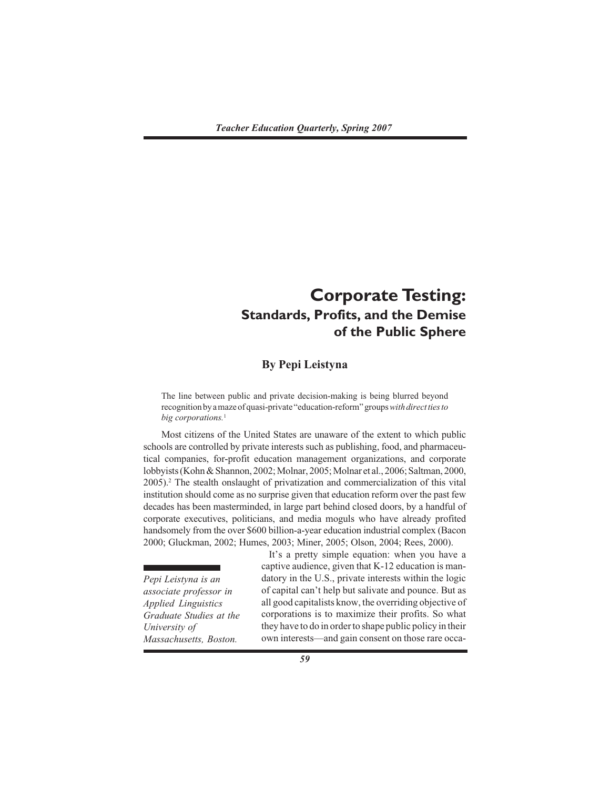# **Corporate Testing: Standards, Profits, and the Demise of the Public Sphere**

## **By Pepi Leistyna**

The line between public and private decision-making is being blurred beyond recognition by a maze of quasi-private "education-reform" groups *with direct ties to big corporations.*<sup>1</sup>

Most citizens of the United States are unaware of the extent to which public schools are controlled by private interests such as publishing, food, and pharmaceutical companies, for-profit education management organizations, and corporate lobbyists (Kohn & Shannon, 2002; Molnar, 2005; Molnar et al., 2006; Saltman, 2000, 2005).<sup>2</sup> The stealth onslaught of privatization and commercialization of this vital institution should come as no surprise given that education reform over the past few decades has been masterminded, in large part behind closed doors, by a handful of corporate executives, politicians, and media moguls who have already profited handsomely from the over \$600 billion-a-year education industrial complex (Bacon 2000; Gluckman, 2002; Humes, 2003; Miner, 2005; Olson, 2004; Rees, 2000).

*Pepi Leistyna is an associate professor in Applied Linguistics Graduate Studies at the University of Massachusetts, Boston.*

It's a pretty simple equation: when you have a captive audience, given that K-12 education is mandatory in the U.S., private interests within the logic of capital can't help but salivate and pounce. But as all good capitalists know, the overriding objective of corporations is to maximize their profits. So what they have to do in order to shape public policy in their own interests—and gain consent on those rare occa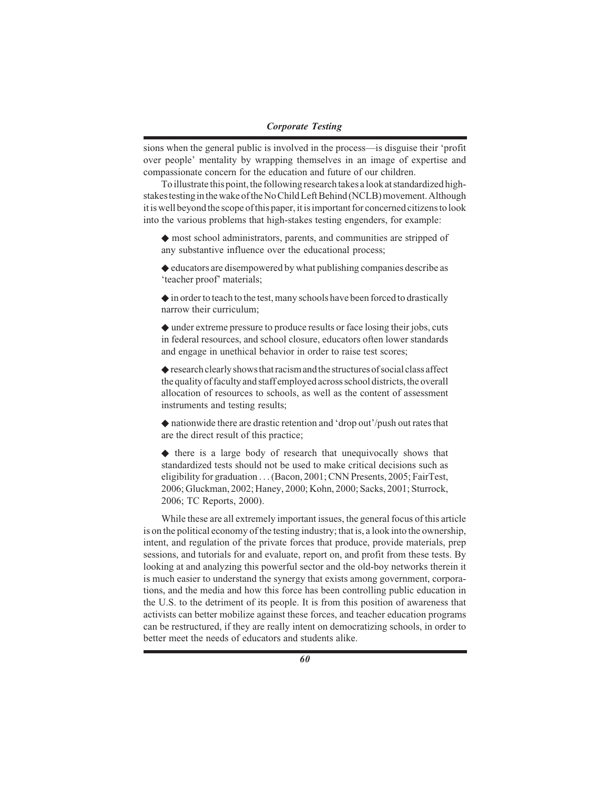sions when the general public is involved in the process—is disguise their 'profit over people' mentality by wrapping themselves in an image of expertise and compassionate concern for the education and future of our children.

To illustrate this point, the following research takes a look at standardized highstakes testing in the wake of the No Child Left Behind (NCLB) movement. Although it is well beyond the scope of this paper, it is important for concerned citizens to look into the various problems that high-stakes testing engenders, for example:

◆ most school administrators, parents, and communities are stripped of any substantive influence over the educational process;

◆ educators are disempowered by what publishing companies describe as 'teacher proof' materials;

◆ in order to teach to the test, many schools have been forced to drastically narrow their curriculum;

◆ under extreme pressure to produce results or face losing their jobs, cuts in federal resources, and school closure, educators often lower standards and engage in unethical behavior in order to raise test scores;

◆ research clearly shows that racism and the structures of social class affect the quality of faculty and staff employed across school districts, the overall allocation of resources to schools, as well as the content of assessment instruments and testing results;

◆ nationwide there are drastic retention and 'drop out'/push out rates that are the direct result of this practice;

◆ there is a large body of research that unequivocally shows that standardized tests should not be used to make critical decisions such as eligibility for graduation . . . (Bacon, 2001; CNN Presents, 2005; FairTest, 2006; Gluckman, 2002; Haney, 2000; Kohn, 2000; Sacks, 2001; Sturrock, 2006; TC Reports, 2000).

While these are all extremely important issues, the general focus of this article is on the political economy of the testing industry; that is, a look into the ownership, intent, and regulation of the private forces that produce, provide materials, prep sessions, and tutorials for and evaluate, report on, and profit from these tests. By looking at and analyzing this powerful sector and the old-boy networks therein it is much easier to understand the synergy that exists among government, corporations, and the media and how this force has been controlling public education in the U.S. to the detriment of its people. It is from this position of awareness that activists can better mobilize against these forces, and teacher education programs can be restructured, if they are really intent on democratizing schools, in order to better meet the needs of educators and students alike.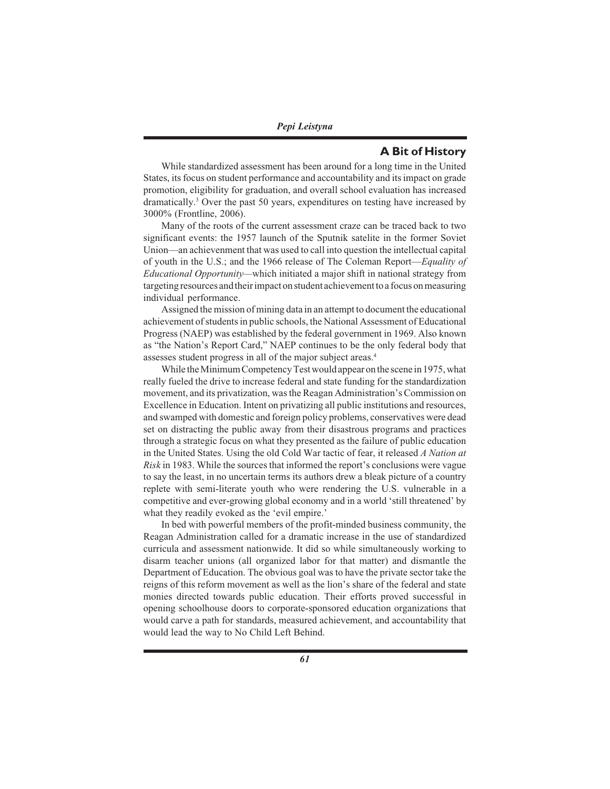## **A Bit of History**

While standardized assessment has been around for a long time in the United States, its focus on student performance and accountability and its impact on grade promotion, eligibility for graduation, and overall school evaluation has increased dramatically.<sup>3</sup> Over the past 50 years, expenditures on testing have increased by 3000% (Frontline, 2006).

Many of the roots of the current assessment craze can be traced back to two significant events: the 1957 launch of the Sputnik satelite in the former Soviet Union—an achievenment that was used to call into question the intellectual capital of youth in the U.S.; and the 1966 release of The Coleman Report—*Equality of Educational Opportunity—*which initiated a major shift in national strategy from targeting resources and their impact on student achievement to a focus on measuring individual performance.

Assigned the mission of mining data in an attempt to document the educational achievement of students in public schools, the National Assessment of Educational Progress (NAEP) was established by the federal government in 1969. Also known as "the Nation's Report Card," NAEP continues to be the only federal body that assesses student progress in all of the major subject areas.<sup>4</sup>

While the Minimum Competency Test would appear on the scene in 1975, what really fueled the drive to increase federal and state funding for the standardization movement, and its privatization, was the Reagan Administration's Commission on Excellence in Education. Intent on privatizing all public institutions and resources, and swamped with domestic and foreign policy problems, conservatives were dead set on distracting the public away from their disastrous programs and practices through a strategic focus on what they presented as the failure of public education in the United States. Using the old Cold War tactic of fear, it released *A Nation at Risk* in 1983. While the sources that informed the report's conclusions were vague to say the least, in no uncertain terms its authors drew a bleak picture of a country replete with semi-literate youth who were rendering the U.S. vulnerable in a competitive and ever-growing global economy and in a world 'still threatened' by what they readily evoked as the 'evil empire.'

In bed with powerful members of the profit-minded business community, the Reagan Administration called for a dramatic increase in the use of standardized curricula and assessment nationwide. It did so while simultaneously working to disarm teacher unions (all organized labor for that matter) and dismantle the Department of Education. The obvious goal was to have the private sector take the reigns of this reform movement as well as the lion's share of the federal and state monies directed towards public education. Their efforts proved successful in opening schoolhouse doors to corporate-sponsored education organizations that would carve a path for standards, measured achievement, and accountability that would lead the way to No Child Left Behind.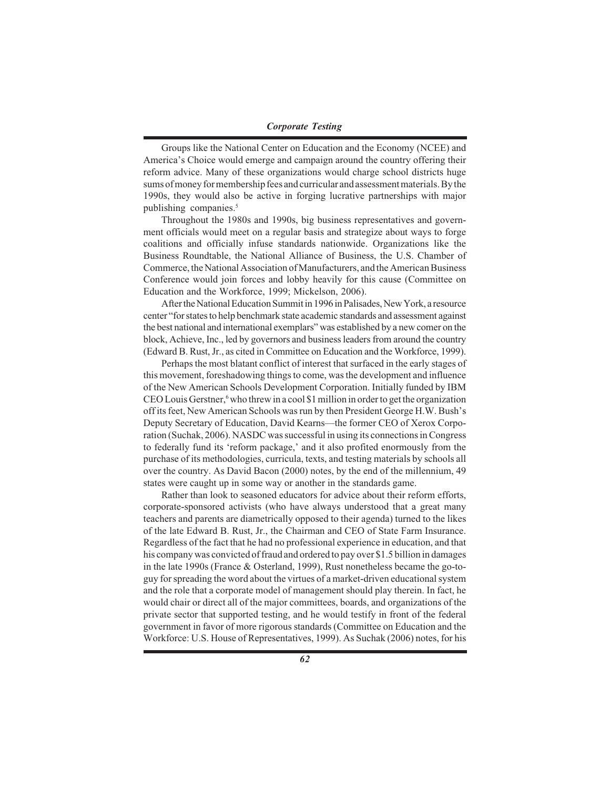#### *Corporate Testing*

Groups like the National Center on Education and the Economy (NCEE) and America's Choice would emerge and campaign around the country offering their reform advice. Many of these organizations would charge school districts huge sums of money for membership fees and curricular and assessment materials. By the 1990s, they would also be active in forging lucrative partnerships with major publishing companies.<sup>5</sup>

Throughout the 1980s and 1990s, big business representatives and government officials would meet on a regular basis and strategize about ways to forge coalitions and officially infuse standards nationwide. Organizations like the Business Roundtable, the National Alliance of Business, the U.S. Chamber of Commerce, the National Association of Manufacturers, and the American Business Conference would join forces and lobby heavily for this cause (Committee on Education and the Workforce, 1999; Mickelson, 2006).

After the National Education Summit in 1996 in Palisades, New York, a resource center "for states to help benchmark state academic standards and assessment against the best national and international exemplars" was established by a new comer on the block, Achieve, Inc., led by governors and business leaders from around the country (Edward B. Rust, Jr., as cited in Committee on Education and the Workforce, 1999).

Perhaps the most blatant conflict of interest that surfaced in the early stages of this movement, foreshadowing things to come, was the development and influence of the New American Schools Development Corporation. Initially funded by IBM CEO Louis Gerstner,<sup>6</sup> who threw in a cool \$1 million in order to get the organization off its feet, New American Schools was run by then President George H.W. Bush's Deputy Secretary of Education, David Kearns—the former CEO of Xerox Corporation (Suchak, 2006). NASDC was successful in using its connections in Congress to federally fund its 'reform package,' and it also profited enormously from the purchase of its methodologies, curricula, texts, and testing materials by schools all over the country. As David Bacon (2000) notes, by the end of the millennium, 49 states were caught up in some way or another in the standards game.

Rather than look to seasoned educators for advice about their reform efforts, corporate-sponsored activists (who have always understood that a great many teachers and parents are diametrically opposed to their agenda) turned to the likes of the late Edward B. Rust, Jr., the Chairman and CEO of State Farm Insurance. Regardless of the fact that he had no professional experience in education, and that his company was convicted of fraud and ordered to pay over \$1.5 billion in damages in the late 1990s (France & Osterland, 1999), Rust nonetheless became the go-toguy for spreading the word about the virtues of a market-driven educational system and the role that a corporate model of management should play therein. In fact, he would chair or direct all of the major committees, boards, and organizations of the private sector that supported testing, and he would testify in front of the federal government in favor of more rigorous standards (Committee on Education and the Workforce: U.S. House of Representatives, 1999). As Suchak (2006) notes, for his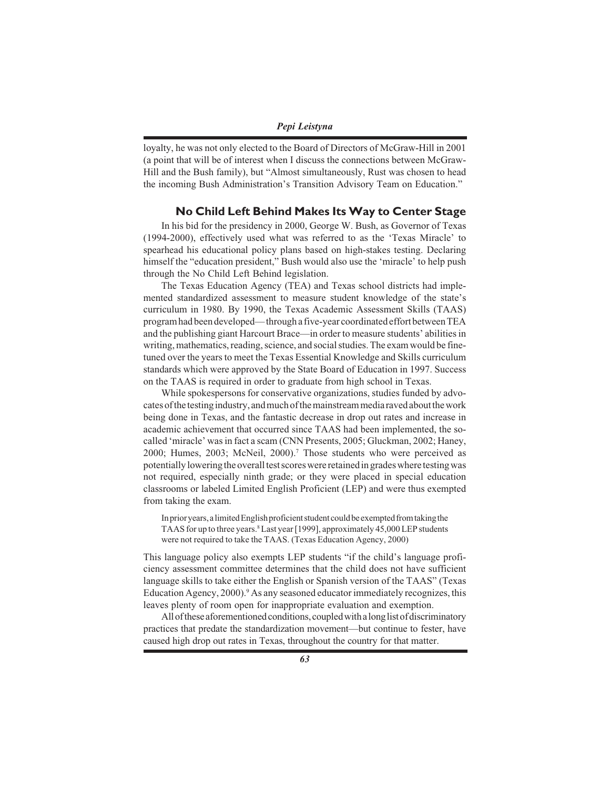loyalty, he was not only elected to the Board of Directors of McGraw-Hill in 2001 (a point that will be of interest when I discuss the connections between McGraw-Hill and the Bush family), but "Almost simultaneously, Rust was chosen to head the incoming Bush Administration's Transition Advisory Team on Education."

## **No Child Left Behind Makes Its Way to Center Stage**

In his bid for the presidency in 2000, George W. Bush, as Governor of Texas (1994-2000), effectively used what was referred to as the 'Texas Miracle' to spearhead his educational policy plans based on high-stakes testing. Declaring himself the "education president," Bush would also use the 'miracle' to help push through the No Child Left Behind legislation.

The Texas Education Agency (TEA) and Texas school districts had implemented standardized assessment to measure student knowledge of the state's curriculum in 1980. By 1990, the Texas Academic Assessment Skills (TAAS) program had been developed— through a five-year coordinated effort between TEA and the publishing giant Harcourt Brace—in order to measure students' abilities in writing, mathematics, reading, science, and social studies. The exam would be finetuned over the years to meet the Texas Essential Knowledge and Skills curriculum standards which were approved by the State Board of Education in 1997. Success on the TAAS is required in order to graduate from high school in Texas.

While spokespersons for conservative organizations, studies funded by advocates of the testing industry, and much of the mainstream media raved about the work being done in Texas, and the fantastic decrease in drop out rates and increase in academic achievement that occurred since TAAS had been implemented, the socalled 'miracle' was in fact a scam (CNN Presents, 2005; Gluckman, 2002; Haney, 2000; Humes, 2003; McNeil, 2000).<sup>7</sup> Those students who were perceived as potentially lowering the overall test scores were retained in grades where testing was not required, especially ninth grade; or they were placed in special education classrooms or labeled Limited English Proficient (LEP) and were thus exempted from taking the exam.

In prior years, a limited English proficient student could be exempted from taking the TAAS for up to three years.<sup>8</sup> Last year [1999], approximately 45,000 LEP students were not required to take the TAAS. (Texas Education Agency, 2000)

This language policy also exempts LEP students "if the child's language proficiency assessment committee determines that the child does not have sufficient language skills to take either the English or Spanish version of the TAAS" (Texas Education Agency, 2000).<sup>9</sup> As any seasoned educator immediately recognizes, this leaves plenty of room open for inappropriate evaluation and exemption.

All of these aforementioned conditions, coupled with a long list of discriminatory practices that predate the standardization movement—but continue to fester, have caused high drop out rates in Texas, throughout the country for that matter.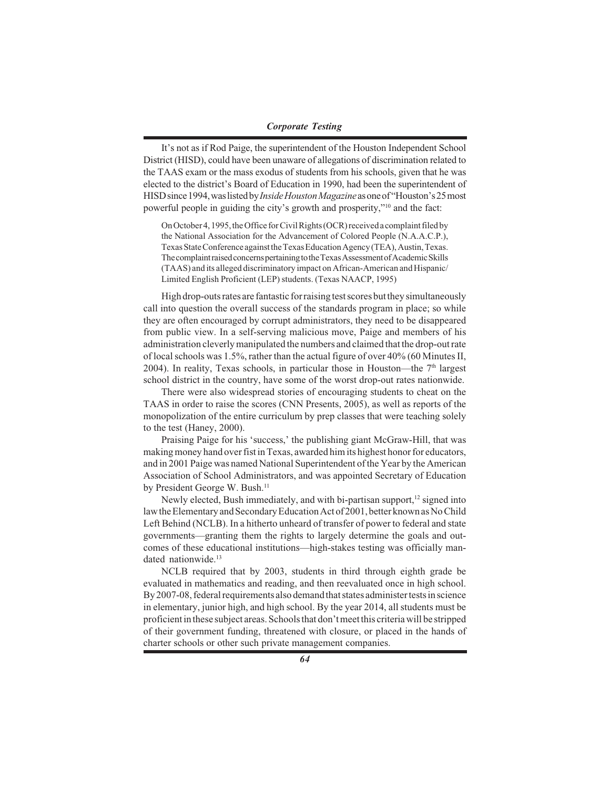#### *Corporate Testing*

It's not as if Rod Paige, the superintendent of the Houston Independent School District (HISD), could have been unaware of allegations of discrimination related to the TAAS exam or the mass exodus of students from his schools, given that he was elected to the district's Board of Education in 1990, had been the superintendent of HISD since 1994, was listed by *Inside Houston Magazine* as one of "Houston's 25 most powerful people in guiding the city's growth and prosperity,"<sup>10</sup> and the fact:

On October 4, 1995, the Office for Civil Rights (OCR) received a complaint filed by the National Association for the Advancement of Colored People (N.A.A.C.P.), Texas State Conference against the Texas Education Agency (TEA), Austin, Texas. The complaint raised concerns pertaining to the Texas Assessment of Academic Skills (TAAS) and its alleged discriminatory impact on African-American and Hispanic/ Limited English Proficient (LEP) students. (Texas NAACP, 1995)

High drop-outs rates are fantastic for raising test scores but they simultaneously call into question the overall success of the standards program in place; so while they are often encouraged by corrupt administrators, they need to be disappeared from public view. In a self-serving malicious move, Paige and members of his administration cleverly manipulated the numbers and claimed that the drop-out rate of local schools was 1.5%, rather than the actual figure of over 40% (60 Minutes II, 2004). In reality, Texas schools, in particular those in Houston—the  $7<sup>th</sup>$  largest school district in the country, have some of the worst drop-out rates nationwide.

There were also widespread stories of encouraging students to cheat on the TAAS in order to raise the scores (CNN Presents, 2005), as well as reports of the monopolization of the entire curriculum by prep classes that were teaching solely to the test (Haney, 2000).

Praising Paige for his 'success,' the publishing giant McGraw-Hill, that was making money hand over fist in Texas, awarded him its highest honor for educators, and in 2001 Paige was named National Superintendent of the Year by the American Association of School Administrators, and was appointed Secretary of Education by President George W. Bush.<sup>11</sup>

Newly elected, Bush immediately, and with bi-partisan support, $12$  signed into law the Elementary and Secondary Education Act of 2001, better known as No Child Left Behind (NCLB). In a hitherto unheard of transfer of power to federal and state governments—granting them the rights to largely determine the goals and outcomes of these educational institutions—high-stakes testing was officially mandated nationwide.<sup>13</sup>

NCLB required that by 2003, students in third through eighth grade be evaluated in mathematics and reading, and then reevaluated once in high school. By 2007-08, federal requirements also demand that states administer tests in science in elementary, junior high, and high school. By the year 2014, all students must be proficient in these subject areas. Schools that don't meet this criteria will be stripped of their government funding, threatened with closure, or placed in the hands of charter schools or other such private management companies.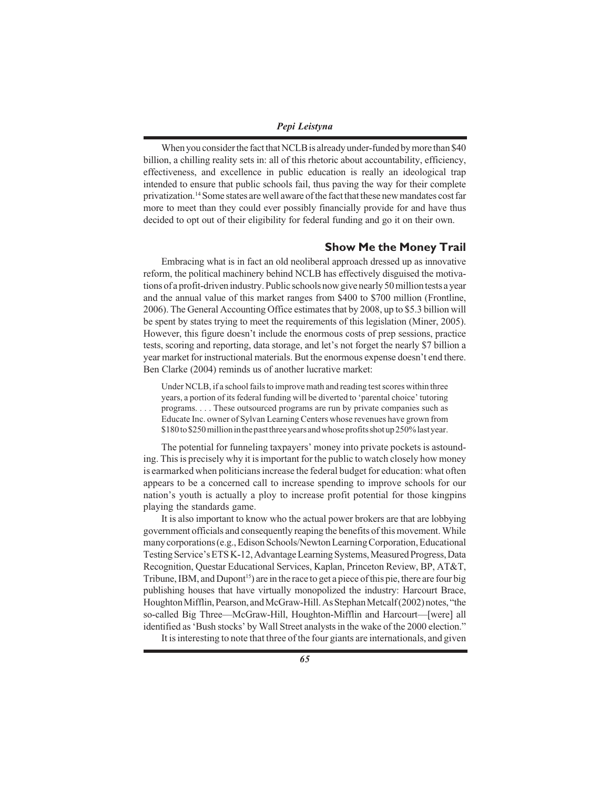When you consider the fact that NCLB is already under-funded by more than \$40 billion, a chilling reality sets in: all of this rhetoric about accountability, efficiency, effectiveness, and excellence in public education is really an ideological trap intended to ensure that public schools fail, thus paving the way for their complete privatization.<sup>14</sup> Some states are well aware of the fact that these new mandates cost far more to meet than they could ever possibly financially provide for and have thus decided to opt out of their eligibility for federal funding and go it on their own.

#### **Show Me the Money Trail**

Embracing what is in fact an old neoliberal approach dressed up as innovative reform, the political machinery behind NCLB has effectively disguised the motivations of a profit-driven industry. Public schools now give nearly 50 million tests a year and the annual value of this market ranges from \$400 to \$700 million (Frontline, 2006). The General Accounting Office estimates that by 2008, up to \$5.3 billion will be spent by states trying to meet the requirements of this legislation (Miner, 2005). However, this figure doesn't include the enormous costs of prep sessions, practice tests, scoring and reporting, data storage, and let's not forget the nearly \$7 billion a year market for instructional materials. But the enormous expense doesn't end there. Ben Clarke (2004) reminds us of another lucrative market:

Under NCLB, if a school fails to improve math and reading test scores within three years, a portion of its federal funding will be diverted to 'parental choice' tutoring programs. . . . These outsourced programs are run by private companies such as Educate Inc. owner of Sylvan Learning Centers whose revenues have grown from \$180 to \$250 million in the past three years and whose profits shot up 250% last year.

The potential for funneling taxpayers' money into private pockets is astounding. This is precisely why it is important for the public to watch closely how money is earmarked when politicians increase the federal budget for education: what often appears to be a concerned call to increase spending to improve schools for our nation's youth is actually a ploy to increase profit potential for those kingpins playing the standards game.

It is also important to know who the actual power brokers are that are lobbying government officials and consequently reaping the benefits of this movement. While many corporations (e.g., Edison Schools/Newton Learning Corporation, Educational Testing Service's ETS K-12, Advantage Learning Systems, Measured Progress, Data Recognition, Questar Educational Services, Kaplan, Princeton Review, BP, AT&T, Tribune, IBM, and Dupont<sup>15</sup>) are in the race to get a piece of this pie, there are four big publishing houses that have virtually monopolized the industry: Harcourt Brace, Houghton Mifflin, Pearson, and McGraw-Hill. As Stephan Metcalf (2002) notes, "the so-called Big Three—McGraw-Hill, Houghton-Mifflin and Harcourt—[were] all identified as 'Bush stocks' by Wall Street analysts in the wake of the 2000 election."

It is interesting to note that three of the four giants are internationals, and given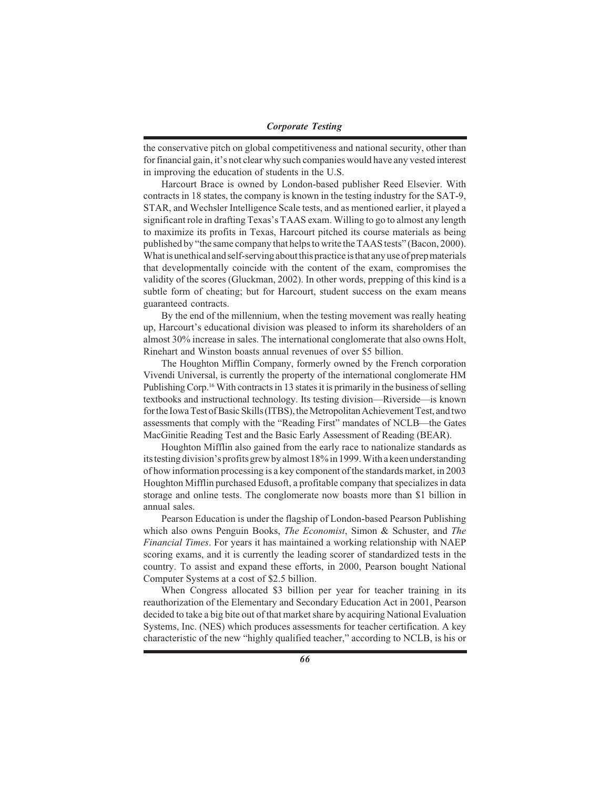the conservative pitch on global competitiveness and national security, other than for financial gain, it's not clear why such companies would have any vested interest in improving the education of students in the U.S.

Harcourt Brace is owned by London-based publisher Reed Elsevier. With contracts in 18 states, the company is known in the testing industry for the SAT-9, STAR, and Wechsler Intelligence Scale tests, and as mentioned earlier, it played a significant role in drafting Texas's TAAS exam. Willing to go to almost any length to maximize its profits in Texas, Harcourt pitched its course materials as being published by "the same company that helps to write the TAAS tests" (Bacon, 2000). What is unethical and self-serving about this practice is that any use of prep materials that developmentally coincide with the content of the exam, compromises the validity of the scores (Gluckman, 2002). In other words, prepping of this kind is a subtle form of cheating; but for Harcourt, student success on the exam means guaranteed contracts.

By the end of the millennium, when the testing movement was really heating up, Harcourt's educational division was pleased to inform its shareholders of an almost 30% increase in sales. The international conglomerate that also owns Holt, Rinehart and Winston boasts annual revenues of over \$5 billion.

The Houghton Mifflin Company, formerly owned by the French corporation Vivendi Universal, is currently the property of the international conglomerate HM Publishing Corp.<sup>16</sup> With contracts in 13 states it is primarily in the business of selling textbooks and instructional technology. Its testing division—Riverside—is known for the Iowa Test of Basic Skills (ITBS), the Metropolitan Achievement Test, and two assessments that comply with the "Reading First" mandates of NCLB—the Gates MacGinitie Reading Test and the Basic Early Assessment of Reading (BEAR).

Houghton Mifflin also gained from the early race to nationalize standards as its testing division's profits grew by almost 18% in 1999. With a keen understanding of how information processing is a key component of the standards market, in 2003 Houghton Mifflin purchased Edusoft, a profitable company that specializes in data storage and online tests. The conglomerate now boasts more than \$1 billion in annual sales.

Pearson Education is under the flagship of London-based Pearson Publishing which also owns Penguin Books, *The Economist*, Simon & Schuster, and *The Financial Times*. For years it has maintained a working relationship with NAEP scoring exams, and it is currently the leading scorer of standardized tests in the country. To assist and expand these efforts, in 2000, Pearson bought National Computer Systems at a cost of \$2.5 billion.

When Congress allocated \$3 billion per year for teacher training in its reauthorization of the Elementary and Secondary Education Act in 2001, Pearson decided to take a big bite out of that market share by acquiring National Evaluation Systems, Inc. (NES) which produces assessments for teacher certification. A key characteristic of the new "highly qualified teacher," according to NCLB, is his or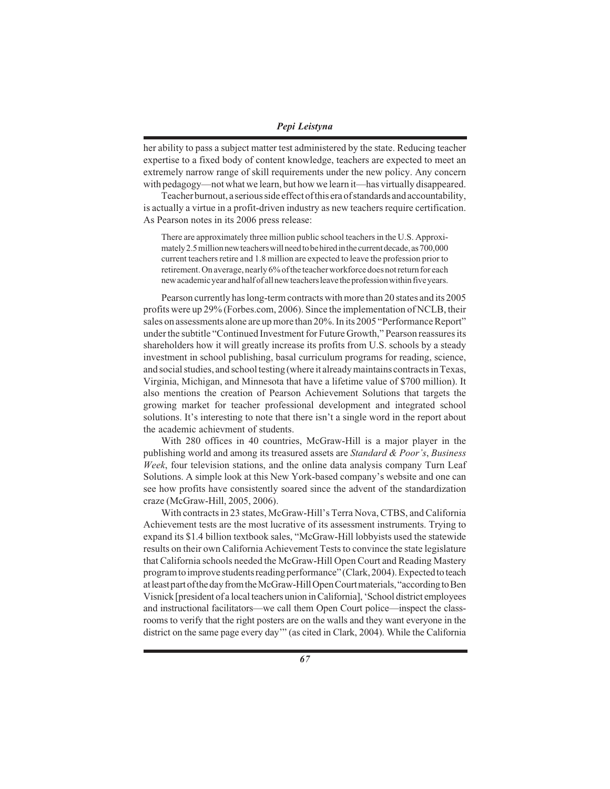her ability to pass a subject matter test administered by the state. Reducing teacher expertise to a fixed body of content knowledge, teachers are expected to meet an extremely narrow range of skill requirements under the new policy. Any concern with pedagogy—not what we learn, but how we learn it—has virtually disappeared.

Teacher burnout, a serious side effect of this era of standards and accountability, is actually a virtue in a profit-driven industry as new teachers require certification. As Pearson notes in its 2006 press release:

There are approximately three million public school teachers in the U.S. Approximately 2.5 million new teachers will need to be hired in the current decade, as 700,000 current teachers retire and 1.8 million are expected to leave the profession prior to retirement. On average, nearly 6% of the teacher workforce does not return for each new academic year and half of all new teachers leave the profession within five years.

Pearson currently has long-term contracts with more than 20 states and its 2005 profits were up 29% (Forbes.com, 2006). Since the implementation of NCLB, their sales on assessments alone are up more than 20%. In its 2005 "Performance Report" under the subtitle "Continued Investment for Future Growth," Pearson reassures its shareholders how it will greatly increase its profits from U.S. schools by a steady investment in school publishing, basal curriculum programs for reading, science, and social studies, and school testing (where it already maintains contracts in Texas, Virginia, Michigan, and Minnesota that have a lifetime value of \$700 million). It also mentions the creation of Pearson Achievement Solutions that targets the growing market for teacher professional development and integrated school solutions. It's interesting to note that there isn't a single word in the report about the academic achievment of students.

With 280 offices in 40 countries, McGraw-Hill is a major player in the publishing world and among its treasured assets are *Standard & Poor's*, *Business Week*, four television stations, and the online data analysis company Turn Leaf Solutions. A simple look at this New York-based company's website and one can see how profits have consistently soared since the advent of the standardization craze (McGraw-Hill, 2005, 2006).

With contracts in 23 states, McGraw-Hill's Terra Nova, CTBS, and California Achievement tests are the most lucrative of its assessment instruments. Trying to expand its \$1.4 billion textbook sales, "McGraw-Hill lobbyists used the statewide results on their own California Achievement Tests to convince the state legislature that California schools needed the McGraw-Hill Open Court and Reading Mastery program to improve students reading performance" (Clark, 2004). Expected to teach at least part of the day from the McGraw-Hill Open Court materials, "according to Ben Visnick [president of a local teachers union in California], 'School district employees and instructional facilitators—we call them Open Court police—inspect the classrooms to verify that the right posters are on the walls and they want everyone in the district on the same page every day'" (as cited in Clark, 2004). While the California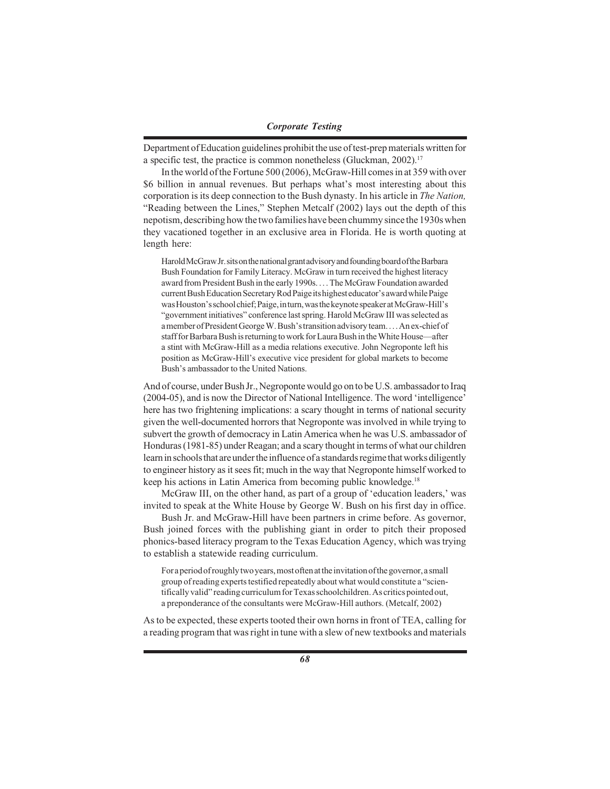#### *Corporate Testing*

Department of Education guidelines prohibit the use of test-prep materials written for a specific test, the practice is common nonetheless (Gluckman,  $2002$ ).<sup>17</sup>

In the world of the Fortune 500 (2006), McGraw-Hill comes in at 359 with over \$6 billion in annual revenues. But perhaps what's most interesting about this corporation is its deep connection to the Bush dynasty. In his article in *The Nation,* "Reading between the Lines," Stephen Metcalf (2002) lays out the depth of this nepotism, describing how the two families have been chummy since the 1930s when they vacationed together in an exclusive area in Florida. He is worth quoting at length here:

Harold McGraw Jr. sits on the national grant advisory and founding board of the Barbara Bush Foundation for Family Literacy. McGraw in turn received the highest literacy award from President Bush in the early 1990s. . . . The McGraw Foundation awarded current Bush Education Secretary Rod Paige its highest educator's award while Paige was Houston's school chief; Paige, in turn, was the keynote speaker at McGraw-Hill's "government initiatives" conference last spring. Harold McGraw III was selected as a member of President George W. Bush's transition advisory team. . . . An ex-chief of staff for Barbara Bush is returning to work for Laura Bush in the White House—after a stint with McGraw-Hill as a media relations executive. John Negroponte left his position as McGraw-Hill's executive vice president for global markets to become Bush's ambassador to the United Nations.

And of course, under Bush Jr., Negroponte would go on to be U.S. ambassador to Iraq (2004-05), and is now the Director of National Intelligence. The word 'intelligence' here has two frightening implications: a scary thought in terms of national security given the well-documented horrors that Negroponte was involved in while trying to subvert the growth of democracy in Latin America when he was U.S. ambassador of Honduras (1981-85) under Reagan; and a scary thought in terms of what our children learn in schools that are under the influence of a standards regime that works diligently to engineer history as it sees fit; much in the way that Negroponte himself worked to keep his actions in Latin America from becoming public knowledge.<sup>18</sup>

McGraw III, on the other hand, as part of a group of 'education leaders,' was invited to speak at the White House by George W. Bush on his first day in office.

Bush Jr. and McGraw-Hill have been partners in crime before. As governor, Bush joined forces with the publishing giant in order to pitch their proposed phonics-based literacy program to the Texas Education Agency, which was trying to establish a statewide reading curriculum.

For a period of roughly two years, most often at the invitation of the governor, a small group of reading experts testified repeatedly about what would constitute a "scientifically valid" reading curriculum for Texas schoolchildren. As critics pointed out, a preponderance of the consultants were McGraw-Hill authors. (Metcalf, 2002)

As to be expected, these experts tooted their own horns in front of TEA, calling for a reading program that was right in tune with a slew of new textbooks and materials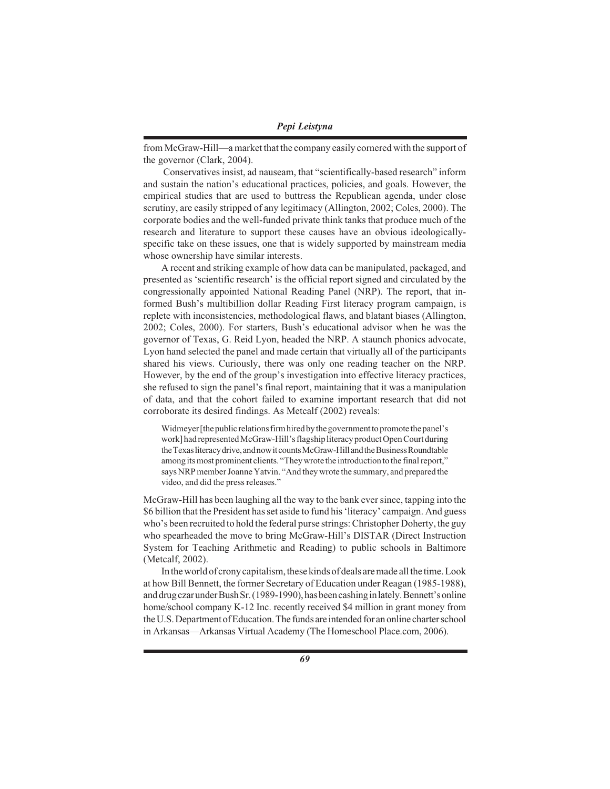from McGraw-Hill—a market that the company easily cornered with the support of the governor (Clark, 2004).

 Conservatives insist, ad nauseam, that "scientifically-based research" inform and sustain the nation's educational practices, policies, and goals. However, the empirical studies that are used to buttress the Republican agenda, under close scrutiny, are easily stripped of any legitimacy (Allington, 2002; Coles, 2000). The corporate bodies and the well-funded private think tanks that produce much of the research and literature to support these causes have an obvious ideologicallyspecific take on these issues, one that is widely supported by mainstream media whose ownership have similar interests.

A recent and striking example of how data can be manipulated, packaged, and presented as 'scientific research' is the official report signed and circulated by the congressionally appointed National Reading Panel (NRP). The report, that informed Bush's multibillion dollar Reading First literacy program campaign, is replete with inconsistencies, methodological flaws, and blatant biases (Allington, 2002; Coles, 2000). For starters, Bush's educational advisor when he was the governor of Texas, G. Reid Lyon, headed the NRP. A staunch phonics advocate, Lyon hand selected the panel and made certain that virtually all of the participants shared his views. Curiously, there was only one reading teacher on the NRP. However, by the end of the group's investigation into effective literacy practices, she refused to sign the panel's final report, maintaining that it was a manipulation of data, and that the cohort failed to examine important research that did not corroborate its desired findings. As Metcalf (2002) reveals:

Widmeyer [the public relations firm hired by the government to promote the panel's work] had represented McGraw-Hill's flagship literacy product Open Court during the Texas literacy drive, and now it counts McGraw-Hill and the Business Roundtable among its most prominent clients. "They wrote the introduction to the final report," says NRP member Joanne Yatvin. "And they wrote the summary, and prepared the video, and did the press releases."

McGraw-Hill has been laughing all the way to the bank ever since, tapping into the \$6 billion that the President has set aside to fund his 'literacy' campaign. And guess who's been recruited to hold the federal purse strings: Christopher Doherty, the guy who spearheaded the move to bring McGraw-Hill's DISTAR (Direct Instruction System for Teaching Arithmetic and Reading) to public schools in Baltimore (Metcalf, 2002).

In the world of crony capitalism, these kinds of deals are made all the time. Look at how Bill Bennett, the former Secretary of Education under Reagan (1985-1988), and drug czar under Bush Sr. (1989-1990), has been cashing in lately. Bennett's online home/school company K-12 Inc. recently received \$4 million in grant money from the U.S. Department of Education. The funds are intended for an online charter school in Arkansas—Arkansas Virtual Academy (The Homeschool Place.com, 2006).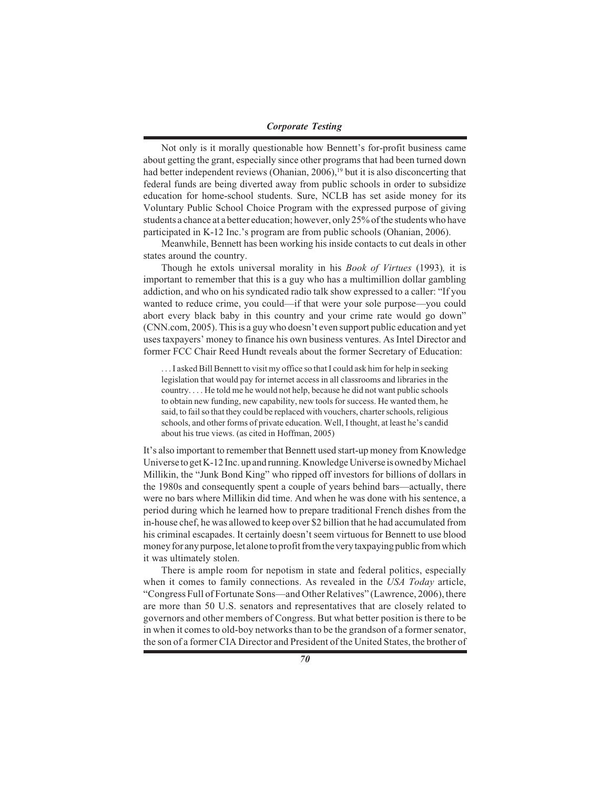#### *Corporate Testing*

Not only is it morally questionable how Bennett's for-profit business came about getting the grant, especially since other programs that had been turned down had better independent reviews (Ohanian, 2006),<sup>19</sup> but it is also disconcerting that federal funds are being diverted away from public schools in order to subsidize education for home-school students. Sure, NCLB has set aside money for its Voluntary Public School Choice Program with the expressed purpose of giving students a chance at a better education; however, only 25% of the students who have participated in K-12 Inc.'s program are from public schools (Ohanian, 2006).

Meanwhile, Bennett has been working his inside contacts to cut deals in other states around the country.

Though he extols universal morality in his *Book of Virtues* (1993)*,* it is important to remember that this is a guy who has a multimillion dollar gambling addiction, and who on his syndicated radio talk show expressed to a caller: "If you wanted to reduce crime, you could—if that were your sole purpose—you could abort every black baby in this country and your crime rate would go down" (CNN.com, 2005). This is a guy who doesn't even support public education and yet uses taxpayers' money to finance his own business ventures. As Intel Director and former FCC Chair Reed Hundt reveals about the former Secretary of Education:

. . . I asked Bill Bennett to visit my office so that I could ask him for help in seeking legislation that would pay for internet access in all classrooms and libraries in the country. . . . He told me he would not help, because he did not want public schools to obtain new funding, new capability, new tools for success. He wanted them, he said, to fail so that they could be replaced with vouchers, charter schools, religious schools, and other forms of private education. Well, I thought, at least he's candid about his true views. (as cited in Hoffman, 2005)

It's also important to remember that Bennett used start-up money from Knowledge Universe to get K-12 Inc. up and running. Knowledge Universe is owned by Michael Millikin, the "Junk Bond King" who ripped off investors for billions of dollars in the 1980s and consequently spent a couple of years behind bars—actually, there were no bars where Millikin did time. And when he was done with his sentence, a period during which he learned how to prepare traditional French dishes from the in-house chef, he was allowed to keep over \$2 billion that he had accumulated from his criminal escapades. It certainly doesn't seem virtuous for Bennett to use blood money for any purpose, let alone to profit from the very taxpaying public from which it was ultimately stolen.

There is ample room for nepotism in state and federal politics, especially when it comes to family connections. As revealed in the *USA Today* article, "Congress Full of Fortunate Sons—and Other Relatives" (Lawrence, 2006), there are more than 50 U.S. senators and representatives that are closely related to governors and other members of Congress. But what better position is there to be in when it comes to old-boy networks than to be the grandson of a former senator, the son of a former CIA Director and President of the United States, the brother of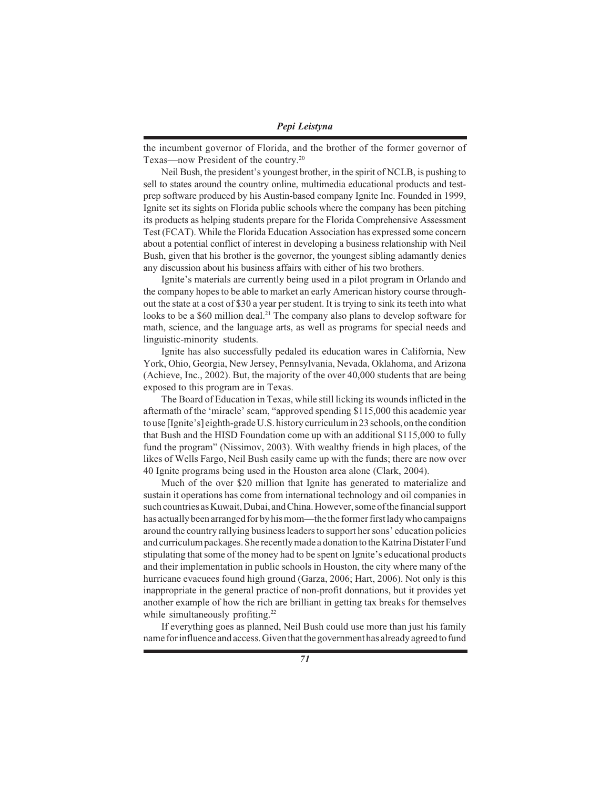the incumbent governor of Florida, and the brother of the former governor of Texas—now President of the country.<sup>20</sup>

Neil Bush, the president's youngest brother, in the spirit of NCLB, is pushing to sell to states around the country online, multimedia educational products and testprep software produced by his Austin-based company Ignite Inc. Founded in 1999, Ignite set its sights on Florida public schools where the company has been pitching its products as helping students prepare for the Florida Comprehensive Assessment Test (FCAT). While the Florida Education Association has expressed some concern about a potential conflict of interest in developing a business relationship with Neil Bush, given that his brother is the governor, the youngest sibling adamantly denies any discussion about his business affairs with either of his two brothers.

Ignite's materials are currently being used in a pilot program in Orlando and the company hopes to be able to market an early American history course throughout the state at a cost of \$30 a year per student. It is trying to sink its teeth into what looks to be a \$60 million deal.<sup>21</sup> The company also plans to develop software for math, science, and the language arts, as well as programs for special needs and linguistic-minority students.

Ignite has also successfully pedaled its education wares in California, New York, Ohio, Georgia, New Jersey, Pennsylvania, Nevada, Oklahoma, and Arizona (Achieve, Inc., 2002). But, the majority of the over 40,000 students that are being exposed to this program are in Texas.

The Board of Education in Texas, while still licking its wounds inflicted in the aftermath of the 'miracle' scam, "approved spending \$115,000 this academic year to use [Ignite's] eighth-grade U.S. history curriculum in 23 schools, on the condition that Bush and the HISD Foundation come up with an additional \$115,000 to fully fund the program" (Nissimov, 2003). With wealthy friends in high places, of the likes of Wells Fargo, Neil Bush easily came up with the funds; there are now over 40 Ignite programs being used in the Houston area alone (Clark, 2004).

Much of the over \$20 million that Ignite has generated to materialize and sustain it operations has come from international technology and oil companies in such countries as Kuwait, Dubai, and China. However, some of the financial support has actually been arranged for by his mom—the the former first lady who campaigns around the country rallying business leaders to support her sons' education policies and curriculum packages. She recently made a donation to the Katrina Distater Fund stipulating that some of the money had to be spent on Ignite's educational products and their implementation in public schools in Houston, the city where many of the hurricane evacuees found high ground (Garza, 2006; Hart, 2006). Not only is this inappropriate in the general practice of non-profit donnations, but it provides yet another example of how the rich are brilliant in getting tax breaks for themselves while simultaneously profiting.<sup>22</sup>

If everything goes as planned, Neil Bush could use more than just his family name for influence and access. Given that the government has already agreed to fund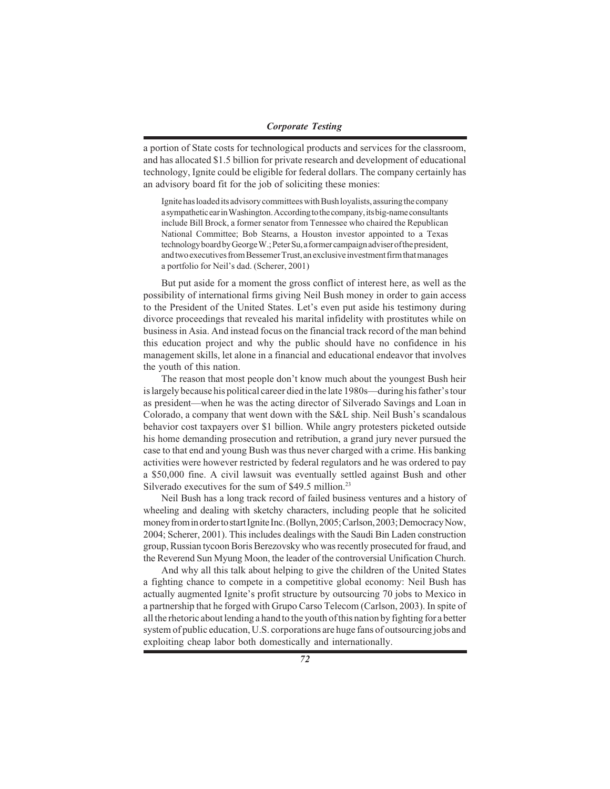a portion of State costs for technological products and services for the classroom, and has allocated \$1.5 billion for private research and development of educational technology, Ignite could be eligible for federal dollars. The company certainly has an advisory board fit for the job of soliciting these monies:

Ignite has loaded its advisory committees with Bush loyalists, assuring the company a sympathetic ear in Washington. According to the company, its big-name consultants include Bill Brock, a former senator from Tennessee who chaired the Republican National Committee; Bob Stearns, a Houston investor appointed to a Texas technology board by George W.; Peter Su, a former campaign adviser of the president, and two executives from Bessemer Trust, an exclusive investment firm that manages a portfolio for Neil's dad. (Scherer, 2001)

But put aside for a moment the gross conflict of interest here, as well as the possibility of international firms giving Neil Bush money in order to gain access to the President of the United States. Let's even put aside his testimony during divorce proceedings that revealed his marital infidelity with prostitutes while on business in Asia. And instead focus on the financial track record of the man behind this education project and why the public should have no confidence in his management skills, let alone in a financial and educational endeavor that involves the youth of this nation.

The reason that most people don't know much about the youngest Bush heir is largely because his political career died in the late 1980s—during his father's tour as president—when he was the acting director of Silverado Savings and Loan in Colorado, a company that went down with the S&L ship. Neil Bush's scandalous behavior cost taxpayers over \$1 billion. While angry protesters picketed outside his home demanding prosecution and retribution, a grand jury never pursued the case to that end and young Bush was thus never charged with a crime. His banking activities were however restricted by federal regulators and he was ordered to pay a \$50,000 fine. A civil lawsuit was eventually settled against Bush and other Silverado executives for the sum of \$49.5 million.<sup>23</sup>

Neil Bush has a long track record of failed business ventures and a history of wheeling and dealing with sketchy characters, including people that he solicited money from in order to start Ignite Inc. (Bollyn, 2005; Carlson, 2003; Democracy Now, 2004; Scherer, 2001). This includes dealings with the Saudi Bin Laden construction group, Russian tycoon Boris Berezovsky who was recently prosecuted for fraud, and the Reverend Sun Myung Moon, the leader of the controversial Unification Church.

And why all this talk about helping to give the children of the United States a fighting chance to compete in a competitive global economy: Neil Bush has actually augmented Ignite's profit structure by outsourcing 70 jobs to Mexico in a partnership that he forged with Grupo Carso Telecom (Carlson, 2003). In spite of all the rhetoric about lending a hand to the youth of this nation by fighting for a better system of public education, U.S. corporations are huge fans of outsourcing jobs and exploiting cheap labor both domestically and internationally.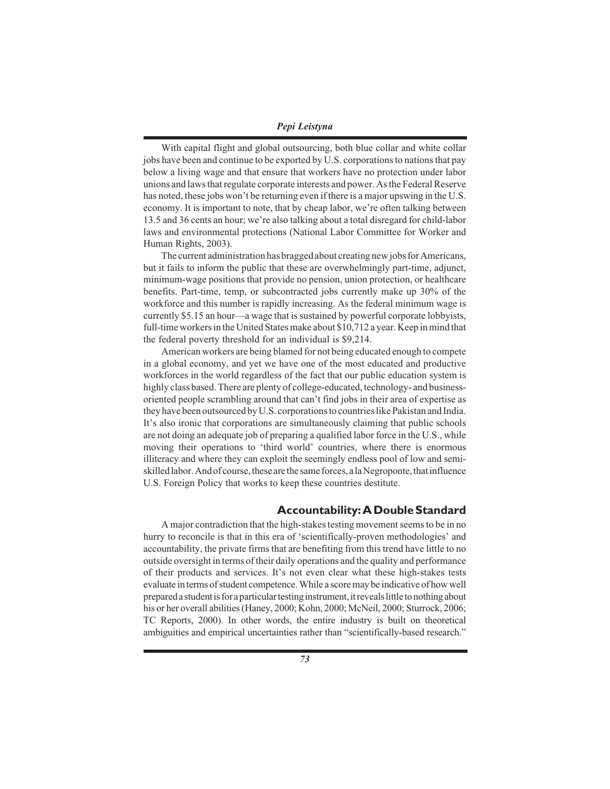With capital flight and global outsourcing, both blue collar and white collar jobs have been and continue to be exported by U.S. corporations to nations that pay below a living wage and that ensure that workers have no protection under labor unions and laws that regulate corporate interests and power. As the Federal Reserve has noted, these jobs won't be returning even if there is a major upswing in the U.S. economy. It is important to note, that by cheap labor, we're often talking between 13.5 and 36 cents an hour; we're also talking about a total disregard for child-labor laws and environmental protections (National Labor Committee for Worker and Human Rights, 2003).

The current administration has bragged about creating new jobs for Americans, but it fails to inform the public that these are overwhelmingly part-time, adjunct, minimum-wage positions that provide no pension, union protection, or healthcare benefits. Part-time, temp, or subcontracted jobs currently make up 30% of the workforce and this number is rapidly increasing. As the federal minimum wage is currently \$5.15 an hour—a wage that is sustained by powerful corporate lobbyists, full-time workers in the United States make about \$10,712 a year. Keep in mind that the federal poverty threshold for an individual is \$9,214.

American workers are being blamed for not being educated enough to compete in a global economy, and yet we have one of the most educated and productive workforces in the world regardless of the fact that our public education system is highly class based. There are plenty of college-educated, technology- and businessoriented people scrambling around that can't find jobs in their area of expertise as they have been outsourced by U.S. corporations to countries like Pakistan and India. It's also ironic that corporations are simultaneously claiming that public schools are not doing an adequate job of preparing a qualified labor force in the U.S., while moving their operations to 'third world' countries, where there is enormous illiteracy and where they can exploit the seemingly endless pool of low and semiskilled labor. And of course, these are the same forces, a la Negroponte, that influence U.S. Foreign Policy that works to keep these countries destitute.

## **Accountability: A Double Standard**

A major contradiction that the high-stakes testing movement seems to be in no hurry to reconcile is that in this era of 'scientifically-proven methodologies' and accountability, the private firms that are benefiting from this trend have little to no outside oversight in terms of their daily operations and the quality and performance of their products and services. It's not even clear what these high-stakes tests evaluate in terms of student competence. While a score may be indicative of how well prepared a student is for a particular testing instrument, it reveals little to nothing about his or her overall abilities (Haney, 2000; Kohn, 2000; McNeil, 2000; Sturrock, 2006; TC Reports, 2000). In other words, the entire industry is built on theoretical ambiguities and empirical uncertainties rather than "scientifically-based research."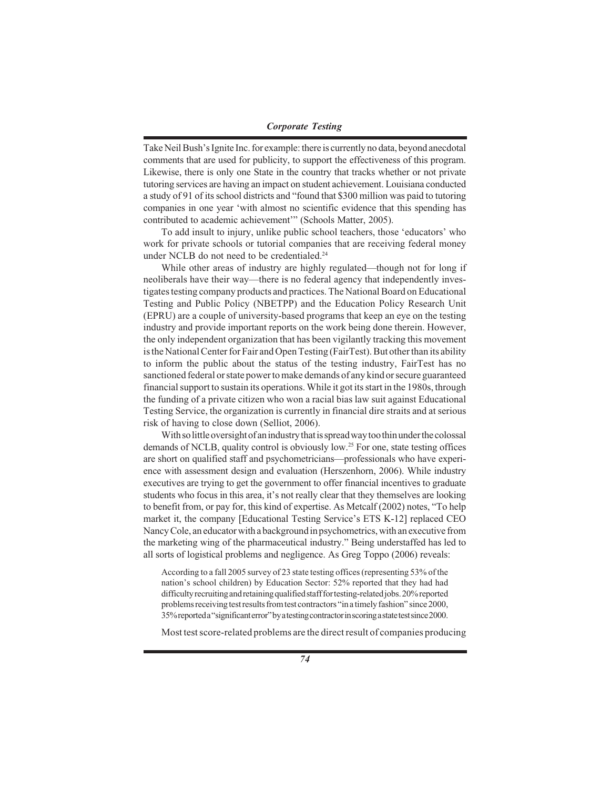#### *Corporate Testing*

Take Neil Bush's Ignite Inc. for example: there is currently no data, beyond anecdotal comments that are used for publicity, to support the effectiveness of this program. Likewise, there is only one State in the country that tracks whether or not private tutoring services are having an impact on student achievement. Louisiana conducted a study of 91 of its school districts and "found that \$300 million was paid to tutoring companies in one year 'with almost no scientific evidence that this spending has contributed to academic achievement'" (Schools Matter, 2005).

To add insult to injury, unlike public school teachers, those 'educators' who work for private schools or tutorial companies that are receiving federal money under NCLB do not need to be credentialed.<sup>24</sup>

While other areas of industry are highly regulated—though not for long if neoliberals have their way—there is no federal agency that independently investigates testing company products and practices. The National Board on Educational Testing and Public Policy (NBETPP) and the Education Policy Research Unit (EPRU) are a couple of university-based programs that keep an eye on the testing industry and provide important reports on the work being done therein. However, the only independent organization that has been vigilantly tracking this movement is the National Center for Fair and Open Testing (FairTest). But other than its ability to inform the public about the status of the testing industry, FairTest has no sanctioned federal or state power to make demands of any kind or secure guaranteed financial support to sustain its operations. While it got its start in the 1980s, through the funding of a private citizen who won a racial bias law suit against Educational Testing Service, the organization is currently in financial dire straits and at serious risk of having to close down (Selliot, 2006).

With so little oversight of an industry that is spread way too thin under the colossal demands of NCLB, quality control is obviously low.<sup>25</sup> For one, state testing offices are short on qualified staff and psychometricians—professionals who have experience with assessment design and evaluation (Herszenhorn, 2006). While industry executives are trying to get the government to offer financial incentives to graduate students who focus in this area, it's not really clear that they themselves are looking to benefit from, or pay for, this kind of expertise. As Metcalf (2002) notes, "To help market it, the company [Educational Testing Service's ETS K-12] replaced CEO Nancy Cole, an educator with a background in psychometrics, with an executive from the marketing wing of the pharmaceutical industry." Being understaffed has led to all sorts of logistical problems and negligence. As Greg Toppo (2006) reveals:

According to a fall 2005 survey of 23 state testing offices (representing 53% of the nation's school children) by Education Sector: 52% reported that they had had difficulty recruiting and retaining qualified staff for testing-related jobs. 20% reported problems receiving test results from test contractors "in a timely fashion" since 2000, 35% reported a "significant error" by a testing contractor in scoring a state test since 2000.

Most test score-related problems are the direct result of companies producing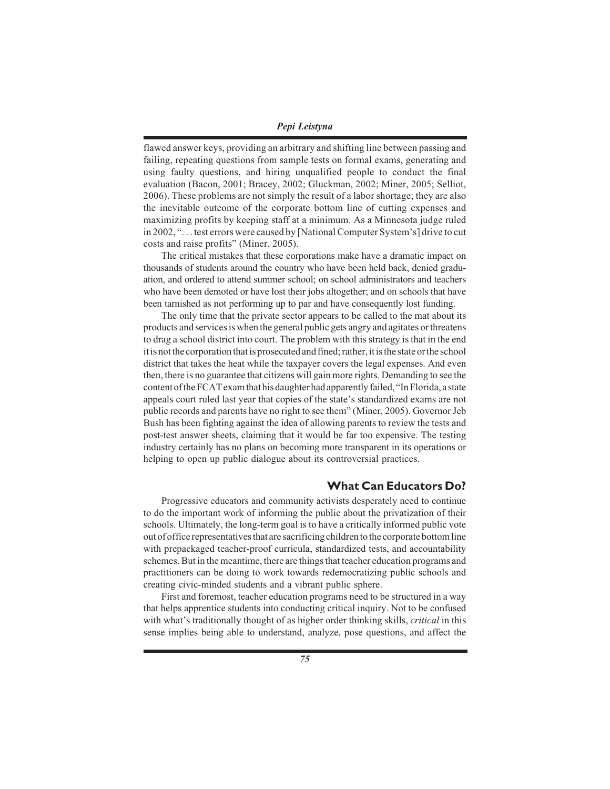flawed answer keys, providing an arbitrary and shifting line between passing and failing, repeating questions from sample tests on formal exams, generating and using faulty questions, and hiring unqualified people to conduct the final evaluation (Bacon, 2001; Bracey, 2002; Gluckman, 2002; Miner, 2005; Selliot, 2006). These problems are not simply the result of a labor shortage; they are also the inevitable outcome of the corporate bottom line of cutting expenses and maximizing profits by keeping staff at a minimum. As a Minnesota judge ruled in 2002, ". . . test errors were caused by [National Computer System's] drive to cut costs and raise profits" (Miner, 2005).

The critical mistakes that these corporations make have a dramatic impact on thousands of students around the country who have been held back, denied graduation, and ordered to attend summer school; on school administrators and teachers who have been demoted or have lost their jobs altogether; and on schools that have been tarnished as not performing up to par and have consequently lost funding.

The only time that the private sector appears to be called to the mat about its products and services is when the general public gets angry and agitates or threatens to drag a school district into court. The problem with this strategy is that in the end it is not the corporation that is prosecuted and fined; rather, it is the state or the school district that takes the heat while the taxpayer covers the legal expenses. And even then, there is no guarantee that citizens will gain more rights. Demanding to see the content of the FCAT exam that his daughter had apparently failed, "In Florida, a state appeals court ruled last year that copies of the state's standardized exams are not public records and parents have no right to see them" (Miner, 2005). Governor Jeb Bush has been fighting against the idea of allowing parents to review the tests and post-test answer sheets, claiming that it would be far too expensive. The testing industry certainly has no plans on becoming more transparent in its operations or helping to open up public dialogue about its controversial practices.

#### **What Can Educators Do?**

Progressive educators and community activists desperately need to continue to do the important work of informing the public about the privatization of their schools. Ultimately, the long-term goal is to have a critically informed public vote out of office representatives that are sacrificing children to the corporate bottom line with prepackaged teacher-proof curricula, standardized tests, and accountability schemes. But in the meantime, there are things that teacher education programs and practitioners can be doing to work towards redemocratizing public schools and creating civic-minded students and a vibrant public sphere.

First and foremost, teacher education programs need to be structured in a way that helps apprentice students into conducting critical inquiry. Not to be confused with what's traditionally thought of as higher order thinking skills, *critical* in this sense implies being able to understand, analyze, pose questions, and affect the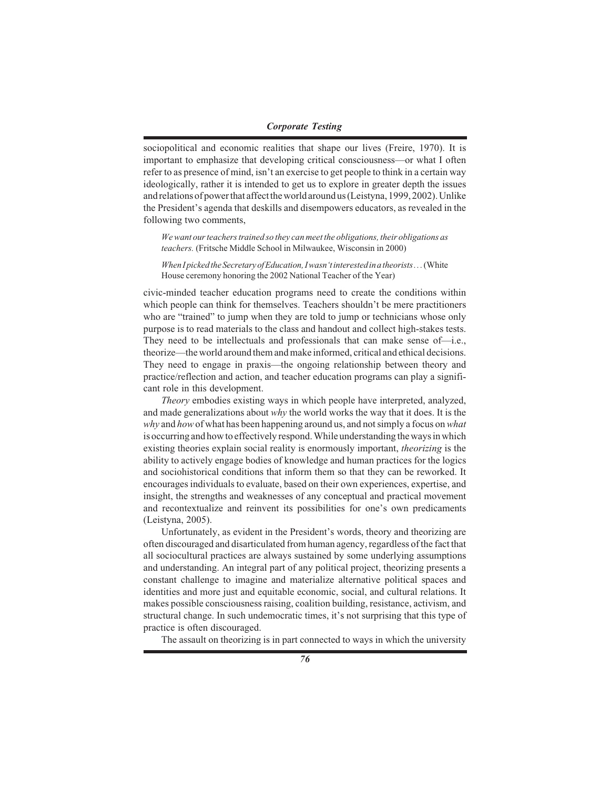sociopolitical and economic realities that shape our lives (Freire, 1970). It is important to emphasize that developing critical consciousness—or what I often refer to as presence of mind, isn't an exercise to get people to think in a certain way ideologically, rather it is intended to get us to explore in greater depth the issues and relations of power that affect the world around us (Leistyna, 1999, 2002). Unlike the President's agenda that deskills and disempowers educators, as revealed in the following two comments,

*We want our teachers trained so they can meet the obligations, their obligations as teachers.* (Fritsche Middle School in Milwaukee, Wisconsin in 2000)

*When I picked the Secretary of Education, I wasn't interested in a theorists . . .*(White House ceremony honoring the 2002 National Teacher of the Year)

civic-minded teacher education programs need to create the conditions within which people can think for themselves. Teachers shouldn't be mere practitioners who are "trained" to jump when they are told to jump or technicians whose only purpose is to read materials to the class and handout and collect high-stakes tests. They need to be intellectuals and professionals that can make sense of—i.e., theorize—the world around them and make informed, critical and ethical decisions. They need to engage in praxis—the ongoing relationship between theory and practice/reflection and action, and teacher education programs can play a significant role in this development.

*Theory* embodies existing ways in which people have interpreted, analyzed, and made generalizations about *why* the world works the way that it does. It is the *why* and *how* of what has been happening around us, and not simply a focus on *what* is occurring and how to effectively respond. While understanding the ways in which existing theories explain social reality is enormously important, *theorizing* is the ability to actively engage bodies of knowledge and human practices for the logics and sociohistorical conditions that inform them so that they can be reworked. It encourages individuals to evaluate, based on their own experiences, expertise, and insight, the strengths and weaknesses of any conceptual and practical movement and recontextualize and reinvent its possibilities for one's own predicaments (Leistyna, 2005).

Unfortunately, as evident in the President's words, theory and theorizing are often discouraged and disarticulated from human agency, regardless of the fact that all sociocultural practices are always sustained by some underlying assumptions and understanding. An integral part of any political project, theorizing presents a constant challenge to imagine and materialize alternative political spaces and identities and more just and equitable economic, social, and cultural relations. It makes possible consciousness raising, coalition building, resistance, activism, and structural change. In such undemocratic times, it's not surprising that this type of practice is often discouraged.

The assault on theorizing is in part connected to ways in which the university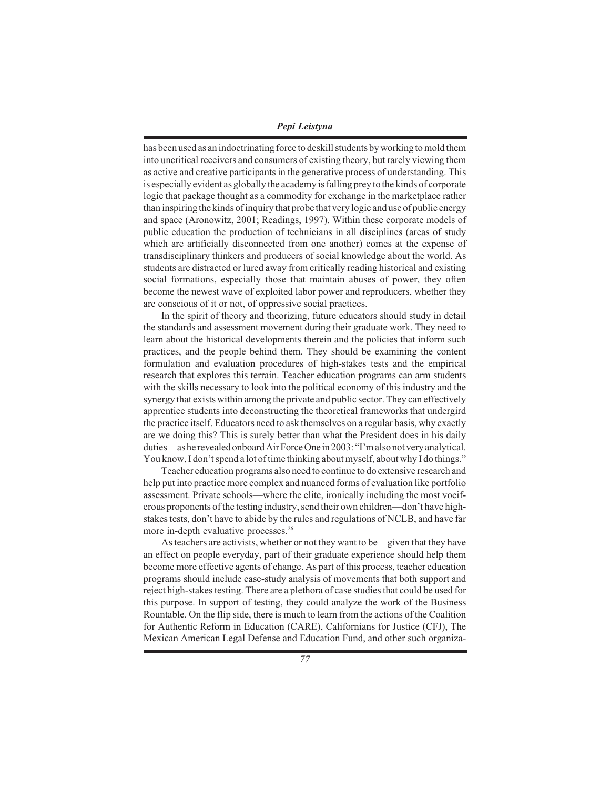has been used as an indoctrinating force to deskill students by working to mold them into uncritical receivers and consumers of existing theory, but rarely viewing them as active and creative participants in the generative process of understanding. This is especially evident as globally the academy is falling prey to the kinds of corporate logic that package thought as a commodity for exchange in the marketplace rather than inspiring the kinds of inquiry that probe that very logic and use of public energy and space (Aronowitz, 2001; Readings, 1997). Within these corporate models of public education the production of technicians in all disciplines (areas of study which are artificially disconnected from one another) comes at the expense of transdisciplinary thinkers and producers of social knowledge about the world. As students are distracted or lured away from critically reading historical and existing social formations, especially those that maintain abuses of power, they often become the newest wave of exploited labor power and reproducers, whether they are conscious of it or not, of oppressive social practices.

In the spirit of theory and theorizing, future educators should study in detail the standards and assessment movement during their graduate work. They need to learn about the historical developments therein and the policies that inform such practices, and the people behind them. They should be examining the content formulation and evaluation procedures of high-stakes tests and the empirical research that explores this terrain. Teacher education programs can arm students with the skills necessary to look into the political economy of this industry and the synergy that exists within among the private and public sector. They can effectively apprentice students into deconstructing the theoretical frameworks that undergird the practice itself. Educators need to ask themselves on a regular basis, why exactly are we doing this? This is surely better than what the President does in his daily duties—as he revealed onboard Air Force One in 2003: "I'm also not very analytical. You know, I don't spend a lot of time thinking about myself, about why I do things."

Teacher education programs also need to continue to do extensive research and help put into practice more complex and nuanced forms of evaluation like portfolio assessment. Private schools—where the elite, ironically including the most vociferous proponents of the testing industry, send their own children—don't have highstakes tests, don't have to abide by the rules and regulations of NCLB, and have far more in-depth evaluative processes.<sup>26</sup>

As teachers are activists, whether or not they want to be—given that they have an effect on people everyday, part of their graduate experience should help them become more effective agents of change. As part of this process, teacher education programs should include case-study analysis of movements that both support and reject high-stakes testing. There are a plethora of case studies that could be used for this purpose. In support of testing, they could analyze the work of the Business Rountable. On the flip side, there is much to learn from the actions of the Coalition for Authentic Reform in Education (CARE), Californians for Justice (CFJ), The Mexican American Legal Defense and Education Fund, and other such organiza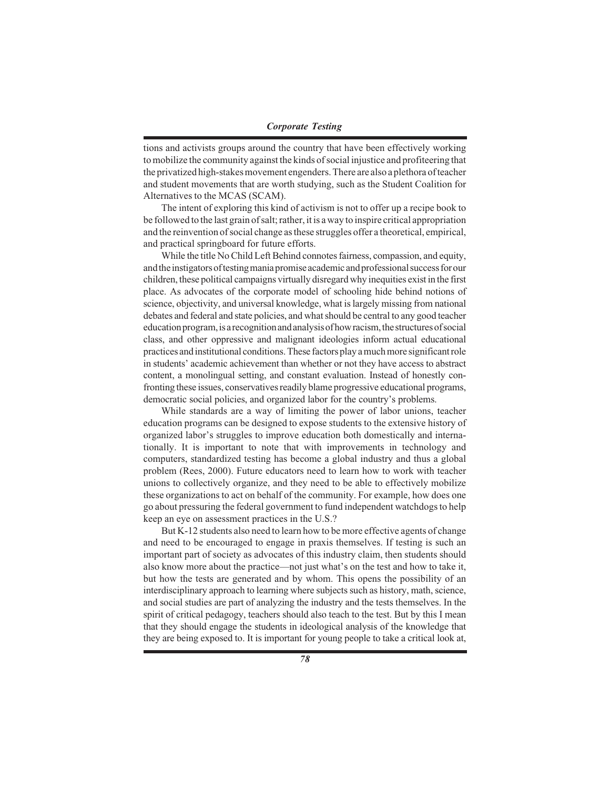tions and activists groups around the country that have been effectively working to mobilize the community against the kinds of social injustice and profiteering that the privatized high-stakes movement engenders. There are also a plethora of teacher and student movements that are worth studying, such as the Student Coalition for Alternatives to the MCAS (SCAM).

The intent of exploring this kind of activism is not to offer up a recipe book to be followed to the last grain of salt; rather, it is a way to inspire critical appropriation and the reinvention of social change as these struggles offer a theoretical, empirical, and practical springboard for future efforts.

While the title No Child Left Behind connotes fairness, compassion, and equity, and the instigators of testing mania promise academic and professional success for our children, these political campaigns virtually disregard why inequities exist in the first place. As advocates of the corporate model of schooling hide behind notions of science, objectivity, and universal knowledge, what is largely missing from national debates and federal and state policies, and what should be central to any good teacher education program, is a recognition and analysis of how racism, the structures of social class, and other oppressive and malignant ideologies inform actual educational practices and institutional conditions. These factors play a much more significant role in students' academic achievement than whether or not they have access to abstract content, a monolingual setting, and constant evaluation. Instead of honestly confronting these issues, conservatives readily blame progressive educational programs, democratic social policies, and organized labor for the country's problems.

While standards are a way of limiting the power of labor unions, teacher education programs can be designed to expose students to the extensive history of organized labor's struggles to improve education both domestically and internationally. It is important to note that with improvements in technology and computers, standardized testing has become a global industry and thus a global problem (Rees, 2000). Future educators need to learn how to work with teacher unions to collectively organize, and they need to be able to effectively mobilize these organizations to act on behalf of the community. For example, how does one go about pressuring the federal government to fund independent watchdogs to help keep an eye on assessment practices in the U.S.?

But K-12 students also need to learn how to be more effective agents of change and need to be encouraged to engage in praxis themselves. If testing is such an important part of society as advocates of this industry claim, then students should also know more about the practice—not just what's on the test and how to take it, but how the tests are generated and by whom. This opens the possibility of an interdisciplinary approach to learning where subjects such as history, math, science, and social studies are part of analyzing the industry and the tests themselves. In the spirit of critical pedagogy, teachers should also teach to the test. But by this I mean that they should engage the students in ideological analysis of the knowledge that they are being exposed to. It is important for young people to take a critical look at,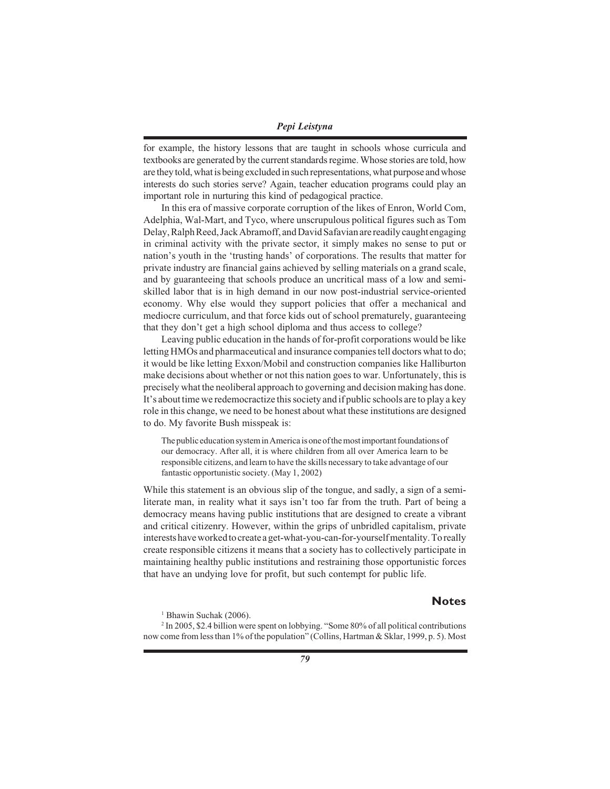for example, the history lessons that are taught in schools whose curricula and textbooks are generated by the current standards regime. Whose stories are told, how are they told, what is being excluded in such representations, what purpose and whose interests do such stories serve? Again, teacher education programs could play an important role in nurturing this kind of pedagogical practice.

In this era of massive corporate corruption of the likes of Enron, World Com, Adelphia, Wal-Mart, and Tyco, where unscrupulous political figures such as Tom Delay, Ralph Reed, Jack Abramoff, and David Safavian are readily caught engaging in criminal activity with the private sector, it simply makes no sense to put or nation's youth in the 'trusting hands' of corporations. The results that matter for private industry are financial gains achieved by selling materials on a grand scale, and by guaranteeing that schools produce an uncritical mass of a low and semiskilled labor that is in high demand in our now post-industrial service-oriented economy. Why else would they support policies that offer a mechanical and mediocre curriculum, and that force kids out of school prematurely, guaranteeing that they don't get a high school diploma and thus access to college?

Leaving public education in the hands of for-profit corporations would be like letting HMOs and pharmaceutical and insurance companies tell doctors what to do; it would be like letting Exxon/Mobil and construction companies like Halliburton make decisions about whether or not this nation goes to war. Unfortunately, this is precisely what the neoliberal approach to governing and decision making has done. It's about time we redemocractize this society and if public schools are to play a key role in this change, we need to be honest about what these institutions are designed to do. My favorite Bush misspeak is:

The public education system in America is one of the most important foundations of our democracy. After all, it is where children from all over America learn to be responsible citizens, and learn to have the skills necessary to take advantage of our fantastic opportunistic society. (May 1, 2002)

While this statement is an obvious slip of the tongue, and sadly, a sign of a semiliterate man, in reality what it says isn't too far from the truth. Part of being a democracy means having public institutions that are designed to create a vibrant and critical citizenry. However, within the grips of unbridled capitalism, private interests have worked to create a get-what-you-can-for-yourself mentality. To really create responsible citizens it means that a society has to collectively participate in maintaining healthy public institutions and restraining those opportunistic forces that have an undying love for profit, but such contempt for public life.

#### **Notes**

<sup>1</sup> Bhawin Suchak (2006).

2 In 2005, \$2.4 billion were spent on lobbying. "Some 80% of all political contributions now come from less than 1% of the population" (Collins, Hartman & Sklar, 1999, p. 5). Most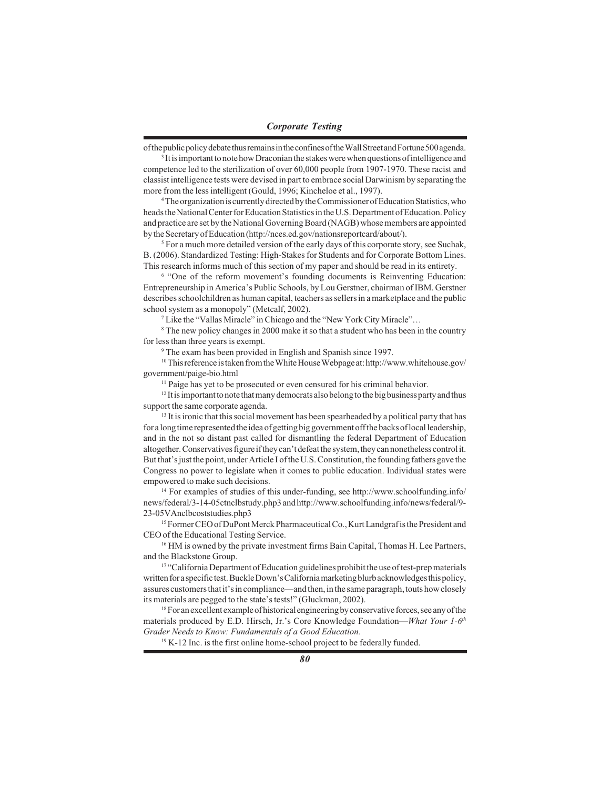of the public policy debate thus remains in the confines of the Wall Street and Fortune 500 agenda.

<sup>3</sup> It is important to note how Draconian the stakes were when questions of intelligence and competence led to the sterilization of over 60,000 people from 1907-1970. These racist and classist intelligence tests were devised in part to embrace social Darwinism by separating the more from the less intelligent (Gould, 1996; Kincheloe et al., 1997).

4 The organization is currently directed by the Commissioner of Education Statistics, who heads the National Center for Education Statistics in the U.S. Department of Education. Policy and practice are set by the National Governing Board (NAGB) whose members are appointed by the Secretary of Education (http://nces.ed.gov/nationsreportcard/about/).

<sup>5</sup> For a much more detailed version of the early days of this corporate story, see Suchak, B. (2006). Standardized Testing: High-Stakes for Students and for Corporate Bottom Lines. This research informs much of this section of my paper and should be read in its entirety.

<sup>6</sup> "One of the reform movement's founding documents is Reinventing Education: Entrepreneurship in America's Public Schools, by Lou Gerstner, chairman of IBM. Gerstner describes schoolchildren as human capital, teachers as sellers in a marketplace and the public school system as a monopoly" (Metcalf, 2002).

<sup>7</sup> Like the "Vallas Miracle" in Chicago and the "New York City Miracle"...

<sup>8</sup> The new policy changes in 2000 make it so that a student who has been in the country for less than three years is exempt.

9 The exam has been provided in English and Spanish since 1997.

<sup>10</sup> This reference is taken from the White House Webpage at: http://www.whitehouse.gov/ government/paige-bio.html

<sup>11</sup> Paige has yet to be prosecuted or even censured for his criminal behavior.

<sup>12</sup> It is important to note that many democrats also belong to the big business party and thus support the same corporate agenda.

<sup>13</sup> It is ironic that this social movement has been spearheaded by a political party that has for a long time represented the idea of getting big government off the backs of local leadership, and in the not so distant past called for dismantling the federal Department of Education altogether. Conservatives figure if they can't defeat the system, they can nonetheless control it. But that's just the point, under Article I of the U.S. Constitution, the founding fathers gave the Congress no power to legislate when it comes to public education. Individual states were empowered to make such decisions.

<sup>14</sup> For examples of studies of this under-funding, see http://www.schoolfunding.info/ news/federal/3-14-05ctnclbstudy.php3 and http://www.schoolfunding.info/news/federal/9- 23-05VAnclbcoststudies.php3

<sup>15</sup> Former CEO of DuPont Merck Pharmaceutical Co., Kurt Landgraf is the President and CEO of the Educational Testing Service.

<sup>16</sup> HM is owned by the private investment firms Bain Capital, Thomas H. Lee Partners, and the Blackstone Group.

<sup>17</sup> "California Department of Education guidelines prohibit the use of test-prep materials written for a specific test. Buckle Down's California marketing blurb acknowledges this policy, assures customers that it's in compliance—and then, in the same paragraph, touts how closely its materials are pegged to the state's tests!" (Gluckman, 2002).

<sup>18</sup> For an excellent example of historical engineering by conservative forces, see any of the materials produced by E.D. Hirsch, Jr.'s Core Knowledge Foundation—*What Your 1-6th Grader Needs to Know: Fundamentals of a Good Education.*

<sup>19</sup> K-12 Inc. is the first online home-school project to be federally funded.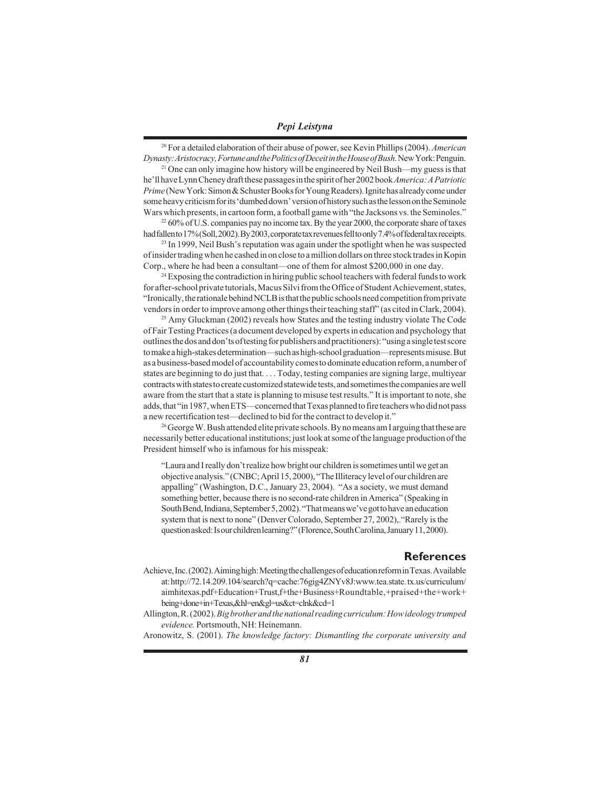<sup>20</sup> For a detailed elaboration of their abuse of power, see Kevin Phillips (2004). *American Dynasty: Aristocracy, Fortune and the Politics of Deceit in the House of Bush.* New York: Penguin.

<sup>21</sup> One can only imagine how history will be engineered by Neil Bush—my guess is that he'll have Lynn Cheney draft these passages in the spirit of her 2002 book *America: A Patriotic Prime* (New York: Simon & Schuster Books for Young Readers). Ignite has already come under some heavy criticism for its 'dumbed down' version of history such as the lesson on the Seminole Wars which presents, in cartoon form, a football game with "the Jacksons vs. the Seminoles."

 $2260\%$  of U.S. companies pay no income tax. By the year 2000, the corporate share of taxes had fallen to 17% (Soll, 2002). By 2003, corporate tax revenues fell to only 7.4% of federal tax receipts.

<sup>23</sup> In 1999, Neil Bush's reputation was again under the spotlight when he was suspected of insider trading when he cashed in on close to a million dollars on three stock trades in Kopin Corp., where he had been a consultant—one of them for almost \$200,000 in one day.

<sup>24</sup> Exposing the contradiction in hiring public school teachers with federal funds to work for after-school private tutorials, Macus Silvi from the Office of Student Achievement, states, "Ironically, the rationale behind NCLB is that the public schools need competition from private vendors in order to improve among other things their teaching staff" (as cited in Clark, 2004).

<sup>25</sup> Amy Gluckman (2002) reveals how States and the testing industry violate The Code of Fair Testing Practices (a document developed by experts in education and psychology that outlines the dos and don'ts of testing for publishers and practitioners): "using a single test score to make a high-stakes determination—such as high-school graduation—represents misuse. But as a business-based model of accountability comes to dominate education reform, a number of states are beginning to do just that. . . . Today, testing companies are signing large, multiyear contracts with states to create customized statewide tests, and sometimes the companies are well aware from the start that a state is planning to misuse test results." It is important to note, she adds, that "in 1987, when ETS—concerned that Texas planned to fire teachers who did not pass a new recertification test—declined to bid for the contract to develop it."

<sup>26</sup> George W. Bush attended elite private schools. By no means am I arguing that these are necessarily better educational institutions; just look at some of the language production of the President himself who is infamous for his misspeak:

"Laura and I really don't realize how bright our children is sometimes until we get an objective analysis." (CNBC; April 15, 2000), "The Illiteracy level of our children are appalling" (Washington, D.C., January 23, 2004). "As a society, we must demand something better, because there is no second-rate children in America" (Speaking in South Bend, Indiana, September 5, 2002). "That means we've got to have an education system that is next to none" (Denver Colorado, September 27, 2002),."Rarely is the question asked: Is our children learning?" (Florence, South Carolina, January 11, 2000).

#### **References**

Achieve, Inc. (2002). Aiming high: Meeting the challenges of education reform in Texas. Available at: http://72.14.209.104/search?q=cache:76gig4ZNYv8J:www.tea.state. tx.us/curriculum/ aimhitexas.pdf+Education+Trust,f+the+Business+Roundtable,+praised+the+work+ being+done+in+Texas,&hl=en&gl=us&ct=clnk&cd=1

Allington, R. (2002). *Big brother and the national reading curriculum: How ideology trumped evidence.* Portsmouth, NH: Heinemann.

Aronowitz, S. (2001). *The knowledge factory: Dismantling the corporate university and*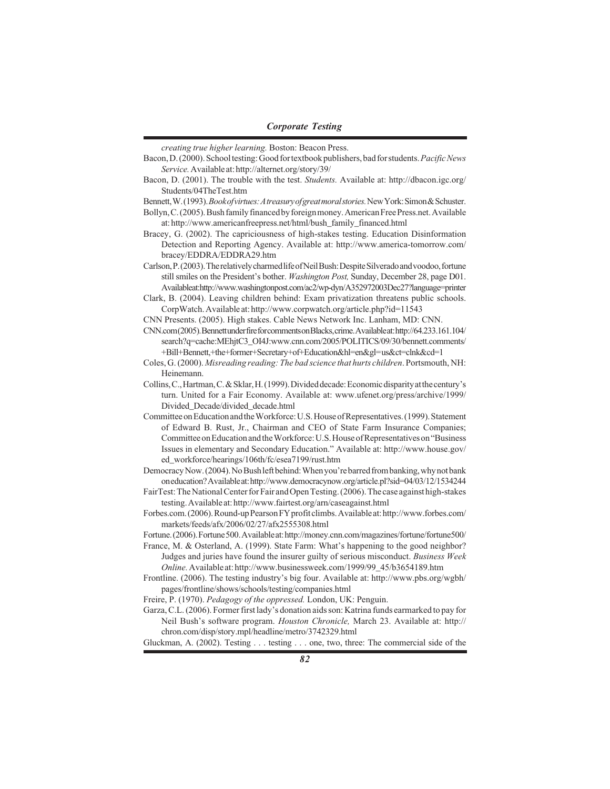*creating true higher learning.* Boston: Beacon Press.

Bacon, D. (2000). School testing: Good for textbook publishers, bad for students. *Pacific News Service.* Available at: http://alternet.org/story/39/

Bacon, D. (2001). The trouble with the test. *Students.* Available at: http://dbacon.igc.org/ Students/04TheTest.htm

Bennett, W. (1993). *Book of virtues: A treasury of great moral stories.* New York: Simon & Schuster.

- Bollyn, C. (2005). Bush family financed by foreign money. American Free Press.net. Available at: http://www.americanfreepress.net/html/bush\_family\_financed.html
- Bracey, G. (2002). The capriciousness of high-stakes testing. Education Disinformation Detection and Reporting Agency. Available at: http://www.america-tomorrow.com/ bracey/EDDRA/EDDRA29.htm

Carlson, P. (2003). The relatively charmed life of Neil Bush: Despite Silverado and voodoo, fortune still smiles on the President's bother. *Washington Post,* Sunday, December 28, page D01. Availableat:http://www.washingtonpost.com/ac2/wp-dyn/A352972003Dec27?language=printer

Clark, B. (2004). Leaving children behind: Exam privatization threatens public schools. CorpWatch. Available at: http://www.corpwatch.org/article.php?id=11543

CNN Presents. (2005). High stakes. Cable News Network Inc. Lanham, MD: CNN.

CNN.com (2005). Bennett under fire for comments on Blacks, crime. Available at: http://64.233.161.104/ search?q=cache:MEhjtC3\_OI4J:www.cnn.com/2005/POLITICS/09/30/bennett.comments/ +Bill+Bennett,+the+former+Secretary+of+Education&hl=en&gl= us&ct=clnk&cd=1

- Coles, G. (2000). *Misreading reading: The bad science that hurts children*. Portsmouth, NH: Heinemann.
- Collins, C., Hartman, C. & Sklar, H. (1999). Divided decade: Economic disparity at the century's turn. United for a Fair Economy. Available at: www.ufenet.org/press/archive/1999/ Divided\_Decade/divided\_decade.html

Committee on Education and the Workforce: U.S. House of Representatives. (1999). Statement of Edward B. Rust, Jr., Chairman and CEO of State Farm Insurance Companies; Committee on Education and the Workforce: U.S. House of Representatives on "Business Issues in elementary and Secondary Education." Available at: http://www.house.gov/ ed\_workforce/hearings/106th/fc/esea7199/rust.htm

- Democracy Now. (2004). No Bush left behind: When you're barred from banking, why not bank on education? Available at: http://www.democracynow.org/article.pl?sid=04/03/12/1534244
- FairTest: The National Center for Fair and Open Testing. (2006). The case against high-stakes testing. Available at: http://www.fairtest.org/arn/caseagainst.html
- Forbes.com. (2006). Round-up Pearson FY profit climbs. Available at: http://www.forbes.com/ markets/feeds/afx/2006/02/27/afx2555308.html

Fortune. (2006). Fortune 500. Available at: http://money.cnn.com/magazines/fortune/fortune500/

- France, M. & Osterland, A. (1999). State Farm: What's happening to the good neighbor? Judges and juries have found the insurer guilty of serious misconduct. *Business Week Online.* Available at: http://www.businessweek.com/1999/99\_45/b3654189.htm
- Frontline. (2006). The testing industry's big four. Available at: http://www.pbs.org/wgbh/ pages/frontline/shows/schools/testing/companies.html

Freire, P. (1970). *Pedagogy of the oppressed.* London, UK: Penguin.

Garza, C.L. (2006). Former first lady's donation aids son: Katrina funds earmarked to pay for Neil Bush's software program. *Houston Chronicle,* March 23. Available at: http:// chron.com/disp/story.mpl/headline/metro/3742329.html

Gluckman, A. (2002). Testing . . . testing . . . one, two, three: The commercial side of the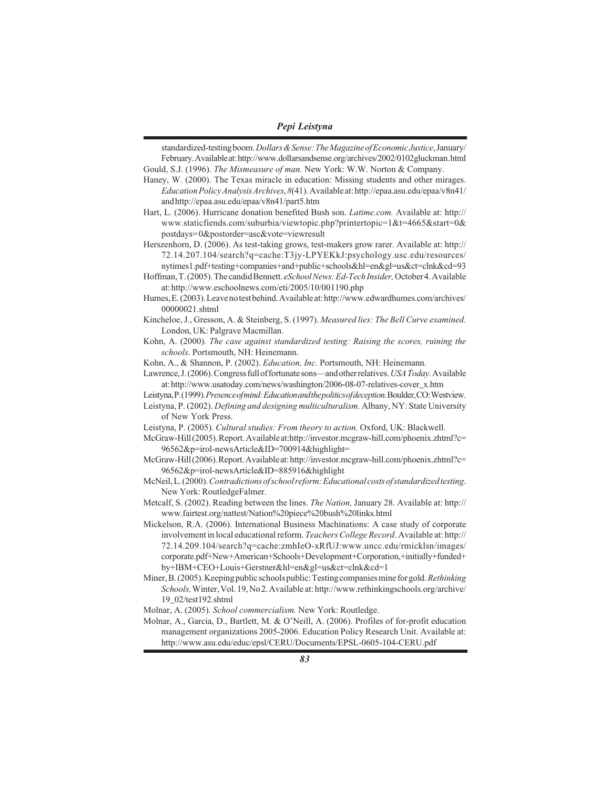standardized-testing boom. *Dollars & Sense: The Magazine of Economic Justice*, January/ February. Available at: http://www.dollarsandsense.org/archives/2002/0102gluckman. html Gould, S.J. (1996). *The Mismeasure of man.* New York: W.W. Norton & Company.

- Haney, W. (2000). The Texas miracle in education: Missing students and other mirages. *Education Policy Analysis Archives*, *8*(41). Available at: http://epaa.asu.edu/epaa/v8n41/ and http://epaa.asu.edu/epaa/v8n41/part5.htm
- Hart, L. (2006). Hurricane donation benefited Bush son. *Latime.com.* Available at: http:// www.staticfiends.com/suburbia/viewtopic.php?printertopic=1&t=4665&start=0& postdays= 0&postorder=asc&vote=viewresult
- Herszenhorn, D. (2006). As test-taking grows, test-makers grow rarer. Available at: http:// 72.14.207.104/search?q=cache:T3jy-LPYEKkJ:psychology.usc.edu/resources/ nytimes1.pdf+testing+companies+and+public+schools&hl=en&gl=us&ct=clnk&cd=93

Hoffman, T. (2005). The candid Bennett. *eSchool News: Ed-Tech Insider,* October 4. Available at: http://www.eschoolnews.com/eti/2005/10/001190.php

- Humes, E. (2003). Leave no test behind. Available at: http://www.edwardhumes.com/archives/ 00000021.shtml
- Kincheloe, J., Gresson, A. & Steinberg, S. (1997). *Measured lies: The Bell Curve examined.* London, UK: Palgrave Macmillan.
- Kohn, A. (2000). *The case against standardized testing: Raising the scores, ruining the schools.* Portsmouth, NH: Heinemann.

Kohn, A., & Shannon, P. (2002). *Education, Inc.* Portsmouth, NH: Heinemann.

- Lawrence, J. (2006). Congress full of fortunate sons—and other relatives. *USA Today.* Available at: http://www.usatoday.com/news/washington/2006-08-07-relatives-cover\_x.htm
- Leistyna, P. (1999). *Presence of mind: Education and the politics of deception.* Boulder, CO: Westview.
- Leistyna, P. (2002). *Defining and designing multiculturalism.* Albany, NY: State University of New York Press.
- Leistyna, P. (2005). *Cultural studies: From theory to action.* Oxford, UK: Blackwell.

McGraw-Hill (2005). Report. Available at:http://investor.mcgraw-hill.com/phoenix.zhtml?c= 96562&p=irol-newsArticle&ID=700914&highlight=

- McGraw-Hill (2006). Report. Available at: http://investor.mcgraw-hill.com/phoenix.zhtml?c= 96562&p=irol-newsArticle&ID=885916&highlight
- McNeil, L. (2000). *Contradictions of school reform: Educational costs of standardized testing*. New York: RoutledgeFalmer.

Metcalf, S. (2002). Reading between the lines. *The Nation,* January 28. Available at: http:// www.fairtest.org/nattest/Nation%20piece%20bush%20links.html

Mickelson, R.A. (2006). International Business Machinations: A case study of corporate involvement in local educational reform. *Teachers College Record*. Available at: http:// 72.14.209.104/search?q=cache:zmhIeO-xRfUJ:www.uncc.edu/rmicklsn/images/ corporate.pdf+New+American+Schools+Development+Corporation,+initially+funded+ by+IBM+CEO+Louis+Gerstner&hl=en&gl=us&ct=clnk&cd=1

Miner, B. (2005). Keeping public schools public: Testing companies mine for gold. *Rethinking Schools,* Winter, Vol. 19, No 2. Available at: http://www.rethinkingschools.org/archive/ 19\_02/test192.shtml

Molnar, A. (2005). *School commercialism.* New York: Routledge.

Molnar, A., Garcia, D., Bartlett, M. & O'Neill, A. (2006). Profiles of for-profit education management organizations 2005-2006. Education Policy Research Unit. Available at: http://www.asu.edu/educ/epsl/CERU/Documents/EPSL-0605-104-CERU.pdf